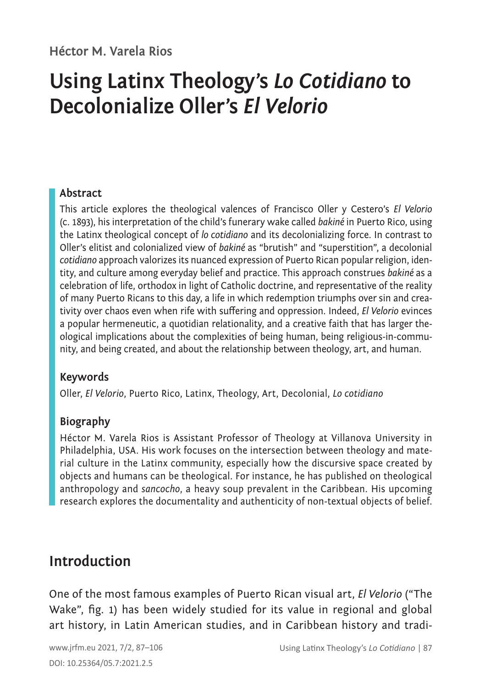# **Using Latinx Theology's** *Lo Cotidiano* **to Decolonialize Oller's** *El Velorio*

#### **Abstract**

This article explores the theological valences of Francisco Oller y Cestero's *El Velorio*  (c. 1893), his interpretation of the child's funerary wake called *bakiné* in Puerto Rico, using the Latinx theological concept of *lo cotidiano* and its decolonializing force. In contrast to Oller's elitist and colonialized view of *bakiné* as "brutish" and "superstition", a decolonial *cotidiano* approach valorizes its nuanced expression of Puerto Rican popular religion, identity, and culture among everyday belief and practice. This approach construes *bakiné* as a celebration of life, orthodox in light of Catholic doctrine, and representative of the reality of many Puerto Ricans to this day, a life in which redemption triumphs over sin and creativity over chaos even when rife with suffering and oppression. Indeed, *El Velorio* evinces a popular hermeneutic, a quotidian relationality, and a creative faith that has larger theological implications about the complexities of being human, being religious-in-community, and being created, and about the relationship between theology, art, and human.

#### **Keywords**

Oller, *El Velorio*, Puerto Rico, Latinx, Theology, Art, Decolonial, *Lo cotidiano*

#### **Biography**

Héctor M. Varela Rios is Assistant Professor of Theology at Villanova University in Philadelphia, USA. His work focuses on the intersection between theology and material culture in the Latinx community, especially how the discursive space created by objects and humans can be theological. For instance, he has published on theological anthropology and *sancocho*, a heavy soup prevalent in the Caribbean. His upcoming research explores the documentality and authenticity of non-textual objects of belief.

### **Introduction**

One of the most famous examples of Puerto Rican visual art, *El Velorio* ("The Wake", fig. 1) has been widely studied for its value in regional and global art history, in Latin American studies, and in Caribbean history and tradi-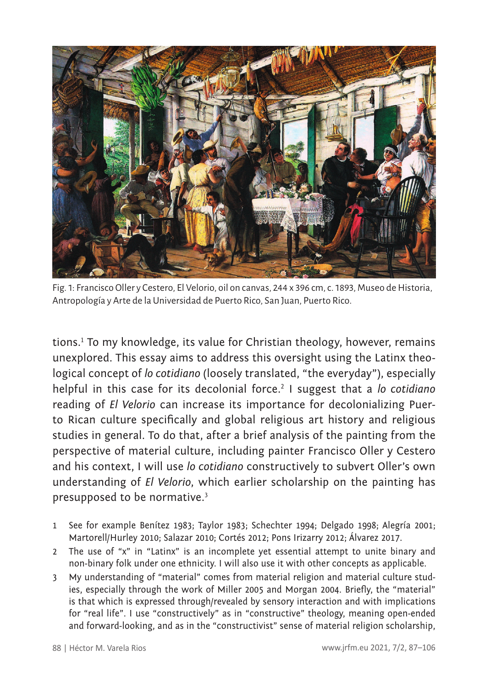

Fig. 1: Francisco Oller y Cestero, El Velorio, oil on canvas, 244 x 396 cm, c. 1893, Museo de Historia, Antropología y Arte de la Universidad de Puerto Rico, San Juan, Puerto Rico.

tions.<sup>1</sup> To my knowledge, its value for Christian theology, however, remains unexplored. This essay aims to address this oversight using the Latinx theological concept of *lo cotidiano* (loosely translated, "the everyday"), especially helpful in this case for its decolonial force.<sup>2</sup> I suggest that a *lo cotidiano* reading of *El Velorio* can increase its importance for decolonializing Puerto Rican culture specifically and global religious art history and religious studies in general. To do that, after a brief analysis of the painting from the perspective of material culture, including painter Francisco Oller y Cestero and his context, I will use *lo cotidiano* constructively to subvert Oller's own understanding of *El Velorio*, which earlier scholarship on the painting has presupposed to be normative.<sup>3</sup>

- 1 See for example Benítez 1983; Taylor 1983; Schechter 1994; Delgado 1998; Alegría 2001; Martorell/Hurley 2010; Salazar 2010; Cortés 2012; Pons Irizarry 2012; Álvarez 2017.
- 2 The use of "x" in "Latinx" is an incomplete yet essential attempt to unite binary and non-binary folk under one ethnicity. I will also use it with other concepts as applicable.
- 3 My understanding of "material" comes from material religion and material culture studies, especially through the work of Miller 2005 and Morgan 2004. Briefly, the "material" is that which is expressed through/revealed by sensory interaction and with implications for "real life". I use "constructively" as in "constructive" theology, meaning open-ended and forward-looking, and as in the "constructivist" sense of material religion scholarship,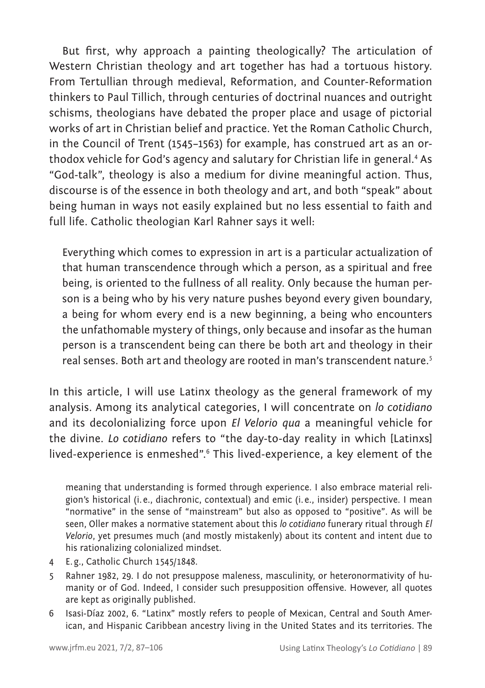But first, why approach a painting theologically? The articulation of Western Christian theology and art together has had a tortuous history. From Tertullian through medieval, Reformation, and Counter-Reformation thinkers to Paul Tillich, through centuries of doctrinal nuances and outright schisms, theologians have debated the proper place and usage of pictorial works of art in Christian belief and practice. Yet the Roman Catholic Church, in the Council of Trent (1545–1563) for example, has construed art as an orthodox vehicle for God's agency and salutary for Christian life in general.<sup>4</sup> As "God-talk", theology is also a medium for divine meaningful action. Thus, discourse is of the essence in both theology and art, and both "speak" about being human in ways not easily explained but no less essential to faith and full life. Catholic theologian Karl Rahner says it well:

Everything which comes to expression in art is a particular actualization of that human transcendence through which a person, as a spiritual and free being, is oriented to the fullness of all reality. Only because the human person is a being who by his very nature pushes beyond every given boundary, a being for whom every end is a new beginning, a being who encounters the unfathomable mystery of things, only because and insofar as the human person is a transcendent being can there be both art and theology in their real senses. Both art and theology are rooted in man's transcendent nature.<sup>5</sup>

In this article, I will use Latinx theology as the general framework of my analysis. Among its analytical categories, I will concentrate on *lo cotidiano* and its decolonializing force upon *El Velorio qua* a meaningful vehicle for the divine. *Lo cotidiano* refers to "the day-to-day reality in which [Latinxs] lived-experience is enmeshed".<sup>6</sup> This lived-experience, a key element of the

meaning that understanding is formed through experience. I also embrace material religion's historical (i. e., diachronic, contextual) and emic (i.e., insider) perspective. I mean "normative" in the sense of "mainstream" but also as opposed to "positive". As will be seen, Oller makes a normative statement about this *lo cotidiano* funerary ritual through *El Velorio*, yet presumes much (and mostly mistakenly) about its content and intent due to his rationalizing colonialized mindset.

- 4 E.g., Catholic Church 1545/1848.
- 5 Rahner 1982, 29. I do not presuppose maleness, masculinity, or heteronormativity of humanity or of God. Indeed, I consider such presupposition offensive. However, all quotes are kept as originally published.
- 6 Isasi-Díaz 2002, 6. "Latinx" mostly refers to people of Mexican, Central and South American, and Hispanic Caribbean ancestry living in the United States and its territories. The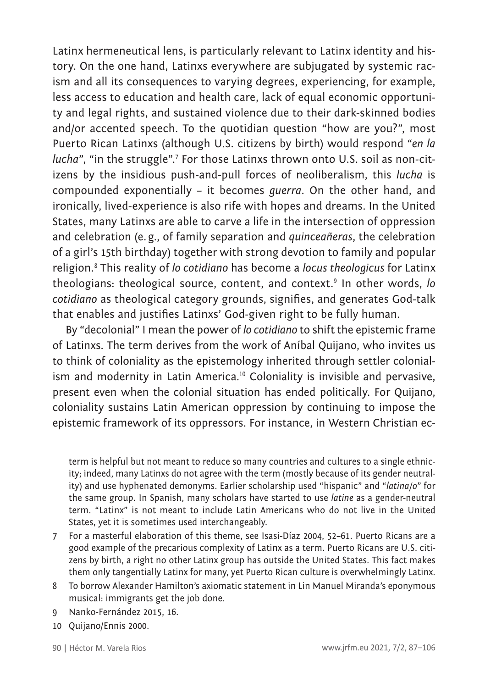Latinx hermeneutical lens, is particularly relevant to Latinx identity and history. On the one hand, Latinxs everywhere are subjugated by systemic racism and all its consequences to varying degrees, experiencing, for example, less access to education and health care, lack of equal economic opportunity and legal rights, and sustained violence due to their dark-skinned bodies and/or accented speech. To the quotidian question "how are you?", most Puerto Rican Latinxs (although U.S. citizens by birth) would respond "*en la lucha*", "in the struggle".<sup>7</sup> For those Latinxs thrown onto U.S. soil as non-citizens by the insidious push-and-pull forces of neoliberalism, this *lucha* is compounded exponentially – it becomes *guerra*. On the other hand, and ironically, lived-experience is also rife with hopes and dreams. In the United States, many Latinxs are able to carve a life in the intersection of oppression and celebration (e.g., of family separation and *quinceañeras*, the celebration of a girl's 15th birthday) together with strong devotion to family and popular religion.<sup>8</sup> This reality of *lo cotidiano* has become a *locus theologicus* for Latinx theologians: theological source, content, and context.<sup>9</sup> In other words, *lo cotidiano* as theological category grounds, signifies, and generates God-talk that enables and justifies Latinxs' God-given right to be fully human.

By "decolonial" I mean the power of *lo cotidiano* to shift the epistemic frame of Latinxs. The term derives from the work of Aníbal Quijano, who invites us to think of coloniality as the epistemology inherited through settler colonialism and modernity in Latin America.<sup>10</sup> Coloniality is invisible and pervasive, present even when the colonial situation has ended politically. For Quijano, coloniality sustains Latin American oppression by continuing to impose the epistemic framework of its oppressors. For instance, in Western Christian ec-

term is helpful but not meant to reduce so many countries and cultures to a single ethnicity; indeed, many Latinxs do not agree with the term (mostly because of its gender neutrality) and use hyphenated demonyms. Earlier scholarship used "hispanic" and "*latina/o*" for the same group. In Spanish, many scholars have started to use *latine* as a gender-neutral term. "Latinx" is not meant to include Latin Americans who do not live in the United States, yet it is sometimes used interchangeably.

- 7 For a masterful elaboration of this theme, see Isasi-Díaz 2004, 52–61. Puerto Ricans are a good example of the precarious complexity of Latinx as a term. Puerto Ricans are U.S. citizens by birth, a right no other Latinx group has outside the United States. This fact makes them only tangentially Latinx for many, yet Puerto Rican culture is overwhelmingly Latinx.
- 8 To borrow Alexander Hamilton's axiomatic statement in Lin Manuel Miranda's eponymous musical: immigrants get the job done.
- 9 Nanko-Fernández 2015, 16.
- 10 Quijano/Ennis 2000.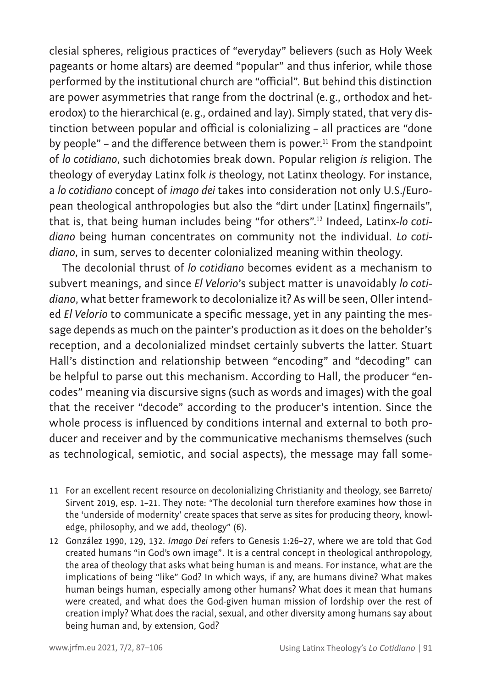clesial spheres, religious practices of "everyday" believers (such as Holy Week pageants or home altars) are deemed "popular" and thus inferior, while those performed by the institutional church are "official". But behind this distinction are power asymmetries that range from the doctrinal (e.g., orthodox and heterodox) to the hierarchical (e.g., ordained and lay). Simply stated, that very distinction between popular and official is colonializing – all practices are "done by people" – and the difference between them is power.<sup>11</sup> From the standpoint of *lo cotidiano*, such dichotomies break down. Popular religion *is* religion. The theology of everyday Latinx folk *is* theology, not Latinx theology. For instance, a *lo cotidiano* concept of *imago dei* takes into consideration not only U.S./European theological anthropologies but also the "dirt under [Latinx] fingernails", that is, that being human includes being "for others".12 Indeed, Latinx-*lo cotidiano* being human concentrates on community not the individual. *Lo cotidiano*, in sum, serves to decenter colonialized meaning within theology.

The decolonial thrust of *lo cotidiano* becomes evident as a mechanism to subvert meanings, and since *El Velorio*'s subject matter is unavoidably *lo cotidiano*, what better framework to decolonialize it? As will be seen, Oller intended *El Velorio* to communicate a specific message, yet in any painting the message depends as much on the painter's production as it does on the beholder's reception, and a decolonialized mindset certainly subverts the latter. Stuart Hall's distinction and relationship between "encoding" and "decoding" can be helpful to parse out this mechanism. According to Hall, the producer "encodes" meaning via discursive signs (such as words and images) with the goal that the receiver "decode" according to the producer's intention. Since the whole process is influenced by conditions internal and external to both producer and receiver and by the communicative mechanisms themselves (such as technological, semiotic, and social aspects), the message may fall some-

- 11 For an excellent recent resource on decolonializing Christianity and theology, see Barreto/ Sirvent 2019, esp. 1–21. They note: "The decolonial turn therefore examines how those in the 'underside of modernity' create spaces that serve as sites for producing theory, knowledge, philosophy, and we add, theology" (6).
- 12 González 1990, 129, 132. *Imago Dei* refers to Genesis 1:26–27, where we are told that God created humans "in God's own image". It is a central concept in theological anthropology, the area of theology that asks what being human is and means. For instance, what are the implications of being "like" God? In which ways, if any, are humans divine? What makes human beings human, especially among other humans? What does it mean that humans were created, and what does the God-given human mission of lordship over the rest of creation imply? What does the racial, sexual, and other diversity among humans say about being human and, by extension, God?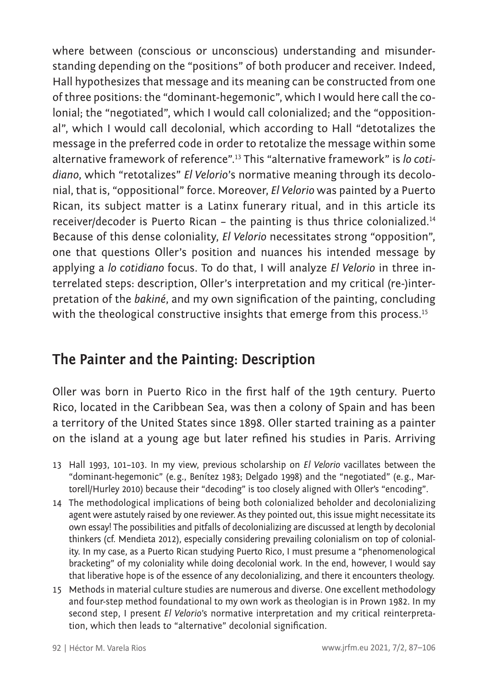where between (conscious or unconscious) understanding and misunderstanding depending on the "positions" of both producer and receiver. Indeed, Hall hypothesizes that message and its meaning can be constructed from one of three positions: the "dominant-hegemonic", which I would here call the colonial; the "negotiated", which I would call colonialized; and the "oppositional", which I would call decolonial, which according to Hall "detotalizes the message in the preferred code in order to retotalize the message within some alternative framework of reference".13 This "alternative framework" is *lo cotidiano*, which "retotalizes" *El Velorio*'s normative meaning through its decolonial, that is, "oppositional" force. Moreover, *El Velorio* was painted by a Puerto Rican, its subject matter is a Latinx funerary ritual, and in this article its receiver/decoder is Puerto Rican – the painting is thus thrice colonialized.<sup>14</sup> Because of this dense coloniality, *El Velorio* necessitates strong "opposition", one that questions Oller's position and nuances his intended message by applying a *lo cotidiano* focus. To do that, I will analyze *El Velorio* in three interrelated steps: description, Oller's interpretation and my critical (re-)interpretation of the *bakiné*, and my own signification of the painting, concluding with the theological constructive insights that emerge from this process.<sup>15</sup>

### **The Painter and the Painting: Description**

Oller was born in Puerto Rico in the first half of the 19th century. Puerto Rico, located in the Caribbean Sea, was then a colony of Spain and has been a territory of the United States since 1898. Oller started training as a painter on the island at a young age but later refined his studies in Paris. Arriving

- 13 Hall 1993, 101–103. In my view, previous scholarship on *El Velorio* vacillates between the "dominant-hegemonic" (e.g., Benítez 1983; Delgado 1998) and the "negotiated" (e.g., Martorell/Hurley 2010) because their "decoding" is too closely aligned with Oller's "encoding".
- 14 The methodological implications of being both colonialized beholder and decolonializing agent were astutely raised by one reviewer. As they pointed out, this issue might necessitate its own essay! The possibilities and pitfalls of decolonializing are discussed at length by decolonial thinkers (cf. Mendieta 2012), especially considering prevailing colonialism on top of coloniality. In my case, as a Puerto Rican studying Puerto Rico, I must presume a "phenomenological bracketing" of my coloniality while doing decolonial work. In the end, however, I would say that liberative hope is of the essence of any decolonializing, and there it encounters theology.
- 15 Methods in material culture studies are numerous and diverse. One excellent methodology and four-step method foundational to my own work as theologian is in Prown 1982. In my second step, I present *El Velorio*'s normative interpretation and my critical reinterpretation, which then leads to "alternative" decolonial signification.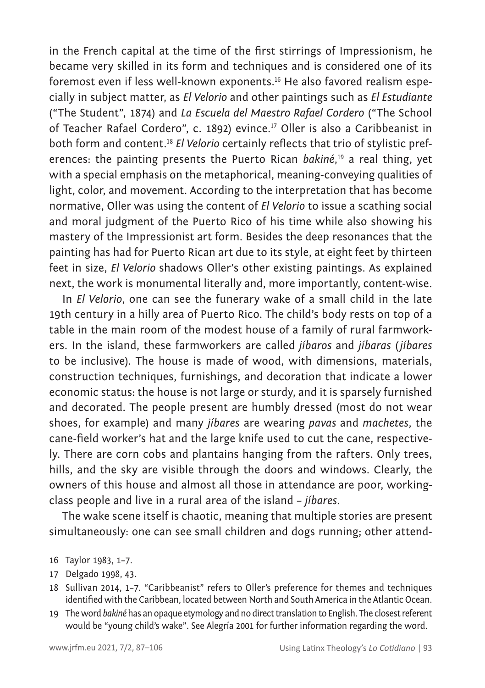in the French capital at the time of the first stirrings of Impressionism, he became very skilled in its form and techniques and is considered one of its foremost even if less well-known exponents.16 He also favored realism especially in subject matter, as *El Velorio* and other paintings such as *El Estudiante* ("The Student", 1874) and *La Escuela del Maestro Rafael Cordero* ("The School of Teacher Rafael Cordero", c. 1892) evince.<sup>17</sup> Oller is also a Caribbeanist in both form and content.<sup>18</sup> *El Velorio* certainly reflects that trio of stylistic preferences: the painting presents the Puerto Rican *bakiné*, <sup>19</sup> a real thing, yet with a special emphasis on the metaphorical, meaning-conveying qualities of light, color, and movement. According to the interpretation that has become normative, Oller was using the content of *El Velorio* to issue a scathing social and moral judgment of the Puerto Rico of his time while also showing his mastery of the Impressionist art form. Besides the deep resonances that the painting has had for Puerto Rican art due to its style, at eight feet by thirteen feet in size, *El Velorio* shadows Oller's other existing paintings. As explained next, the work is monumental literally and, more importantly, content-wise.

In *El Velorio*, one can see the funerary wake of a small child in the late 19th century in a hilly area of Puerto Rico. The child's body rests on top of a table in the main room of the modest house of a family of rural farmworkers. In the island, these farmworkers are called *jíbaros* and *jíbaras* (*jíbares* to be inclusive). The house is made of wood, with dimensions, materials, construction techniques, furnishings, and decoration that indicate a lower economic status: the house is not large or sturdy, and it is sparsely furnished and decorated. The people present are humbly dressed (most do not wear shoes, for example) and many *jíbares* are wearing *pavas* and *machetes*, the cane-field worker's hat and the large knife used to cut the cane, respectively. There are corn cobs and plantains hanging from the rafters. Only trees, hills, and the sky are visible through the doors and windows. Clearly, the owners of this house and almost all those in attendance are poor, workingclass people and live in a rural area of the island – *jíbares*.

The wake scene itself is chaotic, meaning that multiple stories are present simultaneously: one can see small children and dogs running; other attend-

- 17 Delgado 1998, 43.
- 18 Sullivan 2014, 1–7. "Caribbeanist" refers to Oller's preference for themes and techniques identified with the Caribbean, located between North and South America in the Atlantic Ocean.
- 19 The word *bakiné* has an opaque etymology and no direct translation to English. The closest referent would be "young child's wake". See Alegría 2001 for further information regarding the word.

<sup>16</sup> Taylor 1983, 1–7.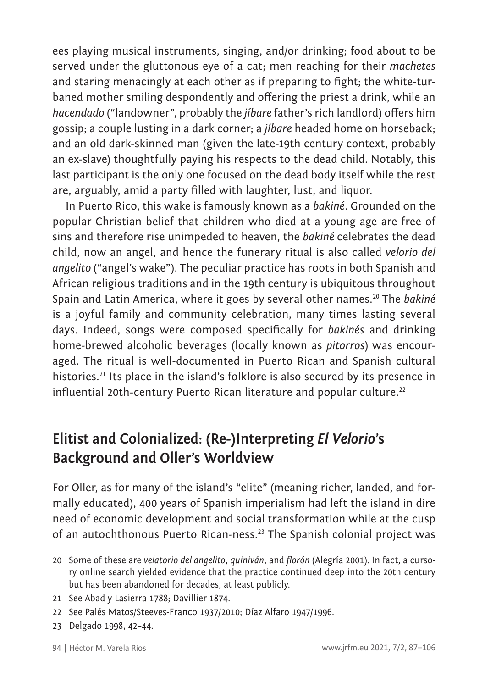ees playing musical instruments, singing, and/or drinking; food about to be served under the gluttonous eye of a cat; men reaching for their *machetes* and staring menacingly at each other as if preparing to fight; the white-turbaned mother smiling despondently and offering the priest a drink, while an *hacendado* ("landowner", probably the *jíbare* father's rich landlord) offers him gossip; a couple lusting in a dark corner; a *jíbare* headed home on horseback; and an old dark-skinned man (given the late-19th century context, probably an ex-slave) thoughtfully paying his respects to the dead child. Notably, this last participant is the only one focused on the dead body itself while the rest are, arguably, amid a party filled with laughter, lust, and liquor.

In Puerto Rico, this wake is famously known as a *bakiné*. Grounded on the popular Christian belief that children who died at a young age are free of sins and therefore rise unimpeded to heaven, the *bakiné* celebrates the dead child, now an angel, and hence the funerary ritual is also called *velorio del angelito* ("angel's wake"). The peculiar practice has roots in both Spanish and African religious traditions and in the 19th century is ubiquitous throughout Spain and Latin America, where it goes by several other names.<sup>20</sup> The *bakiné* is a joyful family and community celebration, many times lasting several days. Indeed, songs were composed specifically for *bakinés* and drinking home-brewed alcoholic beverages (locally known as *pitorros*) was encouraged. The ritual is well-documented in Puerto Rican and Spanish cultural histories.<sup>21</sup> Its place in the island's folklore is also secured by its presence in influential 20th-century Puerto Rican literature and popular culture.<sup>22</sup>

## **Elitist and Colonialized: (Re-)Interpreting** *El Velorio***'s Background and Oller's Worldview**

For Oller, as for many of the island's "elite" (meaning richer, landed, and formally educated), 400 years of Spanish imperialism had left the island in dire need of economic development and social transformation while at the cusp of an autochthonous Puerto Rican-ness.23 The Spanish colonial project was

- 20 Some of these are *velatorio del angelito*, *quiniván*, and *florón* (Alegría 2001)*.* In fact, a cursory online search yielded evidence that the practice continued deep into the 20th century but has been abandoned for decades, at least publicly.
- 21 See Abad y Lasierra 1788; Davillier 1874.
- 22 See Palés Matos/Steeves-Franco 1937/2010; Díaz Alfaro 1947/1996.
- 23 Delgado 1998, 42–44.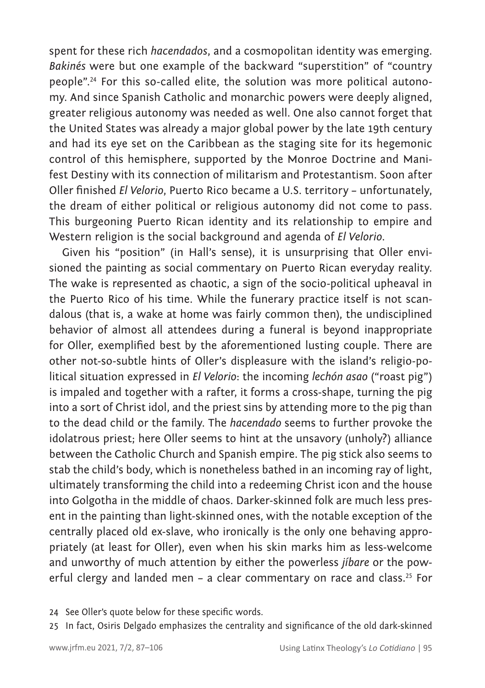spent for these rich *hacendados*, and a cosmopolitan identity was emerging. *Bakinés* were but one example of the backward "superstition" of "country people".24 For this so-called elite, the solution was more political autonomy. And since Spanish Catholic and monarchic powers were deeply aligned, greater religious autonomy was needed as well. One also cannot forget that the United States was already a major global power by the late 19th century and had its eye set on the Caribbean as the staging site for its hegemonic control of this hemisphere, supported by the Monroe Doctrine and Manifest Destiny with its connection of militarism and Protestantism. Soon after Oller finished *El Velorio*, Puerto Rico became a U.S. territory – unfortunately, the dream of either political or religious autonomy did not come to pass. This burgeoning Puerto Rican identity and its relationship to empire and Western religion is the social background and agenda of *El Velorio*.

Given his "position" (in Hall's sense), it is unsurprising that Oller envisioned the painting as social commentary on Puerto Rican everyday reality. The wake is represented as chaotic, a sign of the socio-political upheaval in the Puerto Rico of his time. While the funerary practice itself is not scandalous (that is, a wake at home was fairly common then), the undisciplined behavior of almost all attendees during a funeral is beyond inappropriate for Oller, exemplified best by the aforementioned lusting couple. There are other not-so-subtle hints of Oller's displeasure with the island's religio-political situation expressed in *El Velorio*: the incoming *lechón asao* ("roast pig") is impaled and together with a rafter, it forms a cross-shape, turning the pig into a sort of Christ idol, and the priest sins by attending more to the pig than to the dead child or the family. The *hacendado* seems to further provoke the idolatrous priest; here Oller seems to hint at the unsavory (unholy?) alliance between the Catholic Church and Spanish empire. The pig stick also seems to stab the child's body, which is nonetheless bathed in an incoming ray of light, ultimately transforming the child into a redeeming Christ icon and the house into Golgotha in the middle of chaos. Darker-skinned folk are much less present in the painting than light-skinned ones, with the notable exception of the centrally placed old ex-slave, who ironically is the only one behaving appropriately (at least for Oller), even when his skin marks him as less-welcome and unworthy of much attention by either the powerless *jíbare* or the powerful clergy and landed men - a clear commentary on race and class.<sup>25</sup> For

24 See Oller's quote below for these specific words.

25 In fact, Osiris Delgado emphasizes the centrality and significance of the old dark-skinned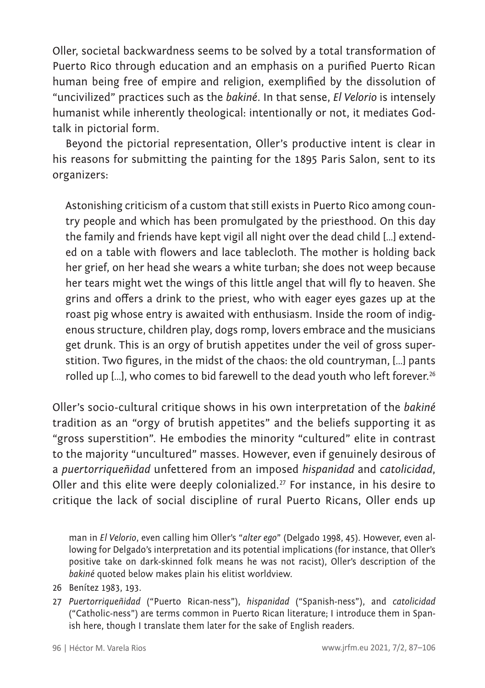Oller, societal backwardness seems to be solved by a total transformation of Puerto Rico through education and an emphasis on a purified Puerto Rican human being free of empire and religion, exemplified by the dissolution of "uncivilized" practices such as the *bakiné*. In that sense, *El Velorio* is intensely humanist while inherently theological: intentionally or not, it mediates Godtalk in pictorial form.

Beyond the pictorial representation, Oller's productive intent is clear in his reasons for submitting the painting for the 1895 Paris Salon, sent to its organizers:

Astonishing criticism of a custom that still exists in Puerto Rico among country people and which has been promulgated by the priesthood. On this day the family and friends have kept vigil all night over the dead child […] extended on a table with flowers and lace tablecloth. The mother is holding back her grief, on her head she wears a white turban; she does not weep because her tears might wet the wings of this little angel that will fly to heaven. She grins and offers a drink to the priest, who with eager eyes gazes up at the roast pig whose entry is awaited with enthusiasm. Inside the room of indigenous structure, children play, dogs romp, lovers embrace and the musicians get drunk. This is an orgy of brutish appetites under the veil of gross superstition. Two figures, in the midst of the chaos: the old countryman, […] pants rolled up [...], who comes to bid farewell to the dead youth who left forever.<sup>26</sup>

Oller's socio-cultural critique shows in his own interpretation of the *bakiné*  tradition as an "orgy of brutish appetites" and the beliefs supporting it as "gross superstition". He embodies the minority "cultured" elite in contrast to the majority "uncultured" masses. However, even if genuinely desirous of a *puertorriqueñidad* unfettered from an imposed *hispanidad* and *catolicidad*, Oller and this elite were deeply colonialized.<sup>27</sup> For instance, in his desire to critique the lack of social discipline of rural Puerto Ricans, Oller ends up

man in *El Velorio*, even calling him Oller's "*alter ego*" (Delgado 1998, 45). However, even allowing for Delgado's interpretation and its potential implications (for instance, that Oller's positive take on dark-skinned folk means he was not racist), Oller's description of the *bakiné* quoted below makes plain his elitist worldview.

- 26 Benítez 1983, 193.
- 27 *Puertorriqueñidad* ("Puerto Rican-ness"), *hispanidad* ("Spanish-ness"), and *catolicidad*  ("Catholic-ness") are terms common in Puerto Rican literature; I introduce them in Spanish here, though I translate them later for the sake of English readers.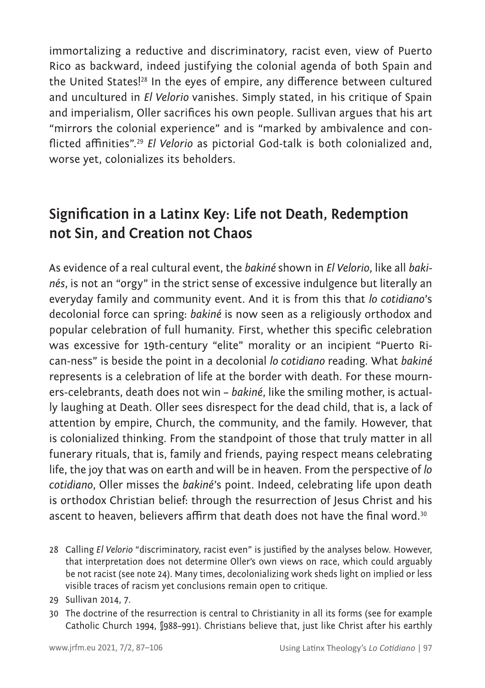immortalizing a reductive and discriminatory, racist even, view of Puerto Rico as backward, indeed justifying the colonial agenda of both Spain and the United States!28 In the eyes of empire, any difference between cultured and uncultured in *El Velorio* vanishes. Simply stated, in his critique of Spain and imperialism, Oller sacrifices his own people. Sullivan argues that his art "mirrors the colonial experience" and is "marked by ambivalence and conflicted affinities".<sup>29</sup> *El Velorio* as pictorial God-talk is both colonialized and, worse yet, colonializes its beholders.

## **Signification in a Latinx Key: Life not Death, Redemption not Sin, and Creation not Chaos**

As evidence of a real cultural event, the *bakiné* shown in *El Velorio*, like all *bakinés*, is not an "orgy" in the strict sense of excessive indulgence but literally an everyday family and community event. And it is from this that *lo cotidiano*'s decolonial force can spring: *bakiné* is now seen as a religiously orthodox and popular celebration of full humanity. First, whether this specific celebration was excessive for 19th-century "elite" morality or an incipient "Puerto Rican-ness" is beside the point in a decolonial *lo cotidiano* reading. What *bakiné*  represents is a celebration of life at the border with death. For these mourners-celebrants, death does not win – *bakiné*, like the smiling mother, is actually laughing at Death. Oller sees disrespect for the dead child, that is, a lack of attention by empire, Church, the community, and the family. However, that is colonialized thinking. From the standpoint of those that truly matter in all funerary rituals, that is, family and friends, paying respect means celebrating life, the joy that was on earth and will be in heaven. From the perspective of *lo cotidiano*, Oller misses the *bakiné*'s point. Indeed, celebrating life upon death is orthodox Christian belief: through the resurrection of Jesus Christ and his ascent to heaven, believers affirm that death does not have the final word.<sup>30</sup>

- 28 Calling *El Velorio* "discriminatory, racist even" is justified by the analyses below. However, that interpretation does not determine Oller's own views on race, which could arguably be not racist (see note 24). Many times, decolonializing work sheds light on implied or less visible traces of racism yet conclusions remain open to critique.
- 29 Sullivan 2014, 7.
- 30 The doctrine of the resurrection is central to Christianity in all its forms (see for example Catholic Church 1994, §988–991). Christians believe that, just like Christ after his earthly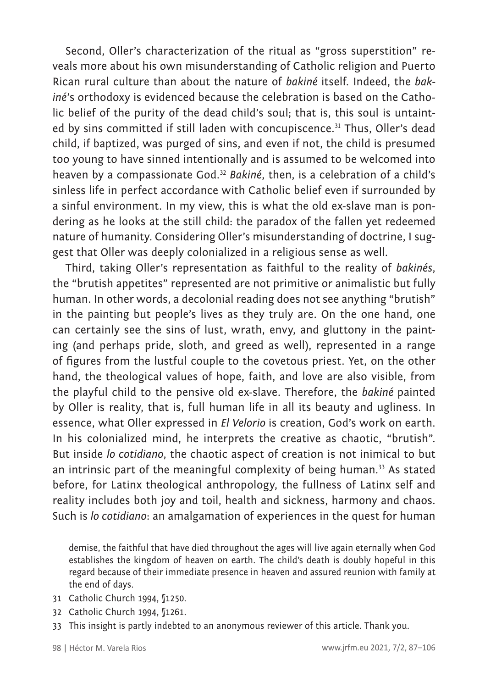Second, Oller's characterization of the ritual as "gross superstition" reveals more about his own misunderstanding of Catholic religion and Puerto Rican rural culture than about the nature of *bakiné* itself. Indeed, the *bakiné*'s orthodoxy is evidenced because the celebration is based on the Catholic belief of the purity of the dead child's soul; that is, this soul is untainted by sins committed if still laden with concupiscence.<sup>31</sup> Thus, Oller's dead child, if baptized, was purged of sins, and even if not, the child is presumed too young to have sinned intentionally and is assumed to be welcomed into heaven by a compassionate God.<sup>32</sup> *Bakiné*, then, is a celebration of a child's sinless life in perfect accordance with Catholic belief even if surrounded by a sinful environment. In my view, this is what the old ex-slave man is pondering as he looks at the still child: the paradox of the fallen yet redeemed nature of humanity. Considering Oller's misunderstanding of doctrine, I suggest that Oller was deeply colonialized in a religious sense as well.

Third, taking Oller's representation as faithful to the reality of *bakinés*, the "brutish appetites" represented are not primitive or animalistic but fully human. In other words, a decolonial reading does not see anything "brutish" in the painting but people's lives as they truly are. On the one hand, one can certainly see the sins of lust, wrath, envy, and gluttony in the painting (and perhaps pride, sloth, and greed as well), represented in a range of figures from the lustful couple to the covetous priest. Yet, on the other hand, the theological values of hope, faith, and love are also visible, from the playful child to the pensive old ex-slave. Therefore, the *bakiné* painted by Oller is reality, that is, full human life in all its beauty and ugliness. In essence, what Oller expressed in *El Velorio* is creation, God's work on earth. In his colonialized mind, he interprets the creative as chaotic, "brutish". But inside *lo cotidiano*, the chaotic aspect of creation is not inimical to but an intrinsic part of the meaningful complexity of being human.<sup>33</sup> As stated before, for Latinx theological anthropology, the fullness of Latinx self and reality includes both joy and toil, health and sickness, harmony and chaos. Such is *lo cotidiano*: an amalgamation of experiences in the quest for human

demise, the faithful that have died throughout the ages will live again eternally when God establishes the kingdom of heaven on earth. The child's death is doubly hopeful in this regard because of their immediate presence in heaven and assured reunion with family at the end of days.

- 31 Catholic Church 1994, [1250.]
- 32 Catholic Church 1994, §1261.
- 33 This insight is partly indebted to an anonymous reviewer of this article. Thank you.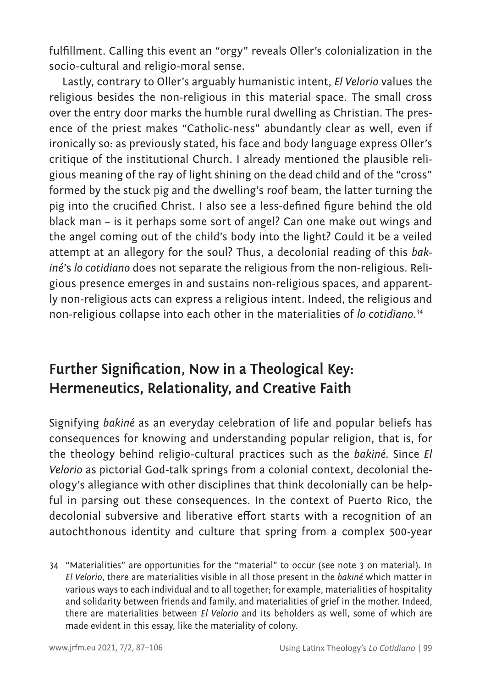fulfillment. Calling this event an "orgy" reveals Oller's colonialization in the socio-cultural and religio-moral sense.

Lastly, contrary to Oller's arguably humanistic intent, *El Velorio* values the religious besides the non-religious in this material space. The small cross over the entry door marks the humble rural dwelling as Christian. The presence of the priest makes "Catholic-ness" abundantly clear as well, even if ironically so: as previously stated, his face and body language express Oller's critique of the institutional Church. I already mentioned the plausible religious meaning of the ray of light shining on the dead child and of the "cross" formed by the stuck pig and the dwelling's roof beam, the latter turning the pig into the crucified Christ. I also see a less-defined figure behind the old black man – is it perhaps some sort of angel? Can one make out wings and the angel coming out of the child's body into the light? Could it be a veiled attempt at an allegory for the soul? Thus, a decolonial reading of this *bakiné*'s *lo cotidiano* does not separate the religious from the non-religious. Religious presence emerges in and sustains non-religious spaces, and apparently non-religious acts can express a religious intent. Indeed, the religious and non-religious collapse into each other in the materialities of *lo cotidiano*. 34

### **Further Signification, Now in a Theological Key: Hermeneutics, Relationality, and Creative Faith**

Signifying *bakiné* as an everyday celebration of life and popular beliefs has consequences for knowing and understanding popular religion, that is, for the theology behind religio-cultural practices such as the *bakiné.* Since *El Velorio* as pictorial God-talk springs from a colonial context, decolonial theology's allegiance with other disciplines that think decolonially can be helpful in parsing out these consequences. In the context of Puerto Rico, the decolonial subversive and liberative effort starts with a recognition of an autochthonous identity and culture that spring from a complex 500-year

34 "Materialities" are opportunities for the "material" to occur (see note 3 on material). In *El Velorio*, there are materialities visible in all those present in the *bakiné* which matter in various ways to each individual and to all together; for example, materialities of hospitality and solidarity between friends and family, and materialities of grief in the mother. Indeed, there are materialities between *El Velorio* and its beholders as well, some of which are made evident in this essay, like the materiality of colony.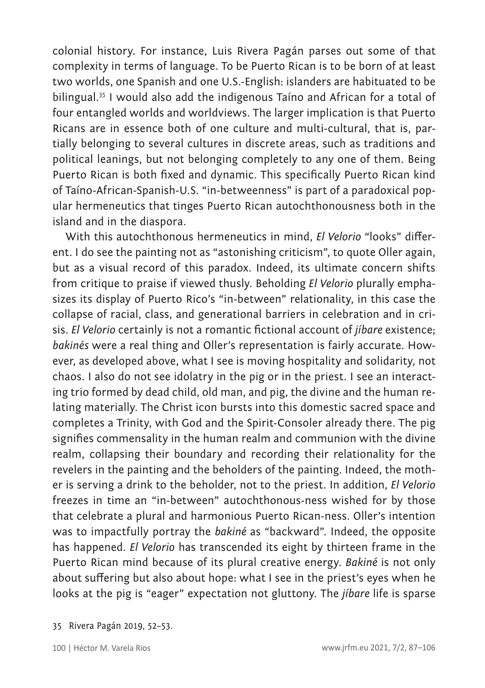colonial history. For instance, Luis Rivera Pagán parses out some of that complexity in terms of language. To be Puerto Rican is to be born of at least two worlds, one Spanish and one U.S.-English: islanders are habituated to be bilingual.<sup>35</sup> I would also add the indigenous Taíno and African for a total of four entangled worlds and worldviews. The larger implication is that Puerto Ricans are in essence both of one culture and multi-cultural, that is, partially belonging to several cultures in discrete areas, such as traditions and political leanings, but not belonging completely to any one of them. Being Puerto Rican is both fixed and dynamic. This specifically Puerto Rican kind of Taíno-African-Spanish-U.S. "in-betweenness" is part of a paradoxical popular hermeneutics that tinges Puerto Rican autochthonousness both in the island and in the diaspora.

With this autochthonous hermeneutics in mind, *El Velorio* "looks" different. I do see the painting not as "astonishing criticism", to quote Oller again, but as a visual record of this paradox. Indeed, its ultimate concern shifts from critique to praise if viewed thusly. Beholding *El Velorio* plurally emphasizes its display of Puerto Rico's "in-between" relationality, in this case the collapse of racial, class, and generational barriers in celebration and in crisis. *El Velorio* certainly is not a romantic fictional account of *jíbare* existence; *bakinés* were a real thing and Oller's representation is fairly accurate. However, as developed above, what I see is moving hospitality and solidarity, not chaos. I also do not see idolatry in the pig or in the priest. I see an interacting trio formed by dead child, old man, and pig, the divine and the human relating materially. The Christ icon bursts into this domestic sacred space and completes a Trinity, with God and the Spirit-Consoler already there. The pig signifies commensality in the human realm and communion with the divine realm, collapsing their boundary and recording their relationality for the revelers in the painting and the beholders of the painting. Indeed, the mother is serving a drink to the beholder, not to the priest. In addition, *El Velorio*  freezes in time an "in-between" autochthonous-ness wished for by those that celebrate a plural and harmonious Puerto Rican-ness. Oller's intention was to impactfully portray the *bakiné* as "backward". Indeed, the opposite has happened. *El Velorio* has transcended its eight by thirteen frame in the Puerto Rican mind because of its plural creative energy. *Bakiné* is not only about suffering but also about hope: what I see in the priest's eyes when he looks at the pig is "eager" expectation not gluttony. The *jíbare* life is sparse

<sup>35</sup> Rivera Pagán 2019, 52–53.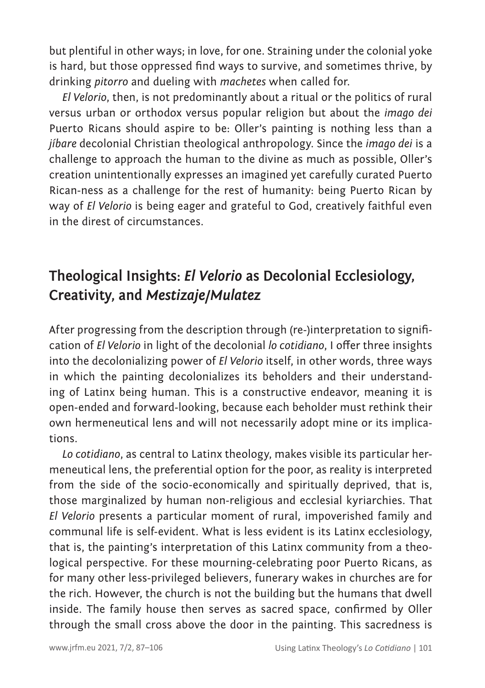but plentiful in other ways; in love, for one. Straining under the colonial yoke is hard, but those oppressed find ways to survive, and sometimes thrive, by drinking *pitorro* and dueling with *machetes* when called for.

*El Velorio*, then, is not predominantly about a ritual or the politics of rural versus urban or orthodox versus popular religion but about the *imago dei* Puerto Ricans should aspire to be: Oller's painting is nothing less than a *jíbare* decolonial Christian theological anthropology. Since the *imago dei* is a challenge to approach the human to the divine as much as possible, Oller's creation unintentionally expresses an imagined yet carefully curated Puerto Rican-ness as a challenge for the rest of humanity: being Puerto Rican by way of *El Velorio* is being eager and grateful to God, creatively faithful even in the direst of circumstances.

# **Theological Insights:** *El Velorio* **as Decolonial Ecclesiology, Creativity, and** *Mestizaje/Mulatez*

After progressing from the description through (re-)interpretation to signification of *El Velorio* in light of the decolonial *lo cotidiano*, I offer three insights into the decolonializing power of *El Velorio* itself, in other words, three ways in which the painting decolonializes its beholders and their understanding of Latinx being human. This is a constructive endeavor, meaning it is open-ended and forward-looking, because each beholder must rethink their own hermeneutical lens and will not necessarily adopt mine or its implications.

*Lo cotidiano*, as central to Latinx theology, makes visible its particular hermeneutical lens, the preferential option for the poor, as reality is interpreted from the side of the socio-economically and spiritually deprived, that is, those marginalized by human non-religious and ecclesial kyriarchies. That *El Velorio* presents a particular moment of rural, impoverished family and communal life is self-evident. What is less evident is its Latinx ecclesiology, that is, the painting's interpretation of this Latinx community from a theological perspective. For these mourning-celebrating poor Puerto Ricans, as for many other less-privileged believers, funerary wakes in churches are for the rich. However, the church is not the building but the humans that dwell inside. The family house then serves as sacred space, confirmed by Oller through the small cross above the door in the painting. This sacredness is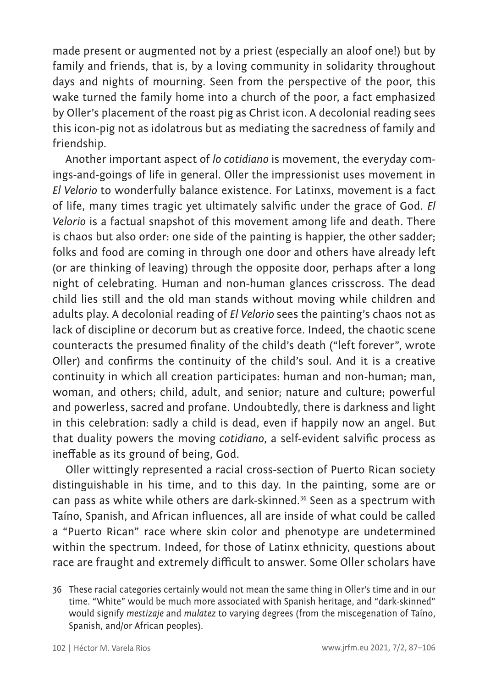made present or augmented not by a priest (especially an aloof one!) but by family and friends, that is, by a loving community in solidarity throughout days and nights of mourning. Seen from the perspective of the poor, this wake turned the family home into a church of the poor, a fact emphasized by Oller's placement of the roast pig as Christ icon. A decolonial reading sees this icon-pig not as idolatrous but as mediating the sacredness of family and friendship.

Another important aspect of *lo cotidiano* is movement, the everyday comings-and-goings of life in general. Oller the impressionist uses movement in *El Velorio* to wonderfully balance existence. For Latinxs, movement is a fact of life, many times tragic yet ultimately salvific under the grace of God. *El Velorio* is a factual snapshot of this movement among life and death. There is chaos but also order: one side of the painting is happier, the other sadder; folks and food are coming in through one door and others have already left (or are thinking of leaving) through the opposite door, perhaps after a long night of celebrating. Human and non-human glances crisscross. The dead child lies still and the old man stands without moving while children and adults play. A decolonial reading of *El Velorio* sees the painting's chaos not as lack of discipline or decorum but as creative force. Indeed, the chaotic scene counteracts the presumed finality of the child's death ("left forever", wrote Oller) and confirms the continuity of the child's soul. And it is a creative continuity in which all creation participates: human and non-human; man, woman, and others; child, adult, and senior; nature and culture; powerful and powerless, sacred and profane. Undoubtedly, there is darkness and light in this celebration: sadly a child is dead, even if happily now an angel. But that duality powers the moving *cotidiano*, a self-evident salvific process as ineffable as its ground of being, God.

Oller wittingly represented a racial cross-section of Puerto Rican society distinguishable in his time, and to this day. In the painting, some are or can pass as white while others are dark-skinned.36 Seen as a spectrum with Taíno, Spanish, and African influences, all are inside of what could be called a "Puerto Rican" race where skin color and phenotype are undetermined within the spectrum. Indeed, for those of Latinx ethnicity, questions about race are fraught and extremely difficult to answer. Some Oller scholars have

<sup>36</sup> These racial categories certainly would not mean the same thing in Oller's time and in our time. "White" would be much more associated with Spanish heritage, and "dark-skinned" would signify *mestizaje* and *mulatez* to varying degrees (from the miscegenation of Taíno, Spanish, and/or African peoples).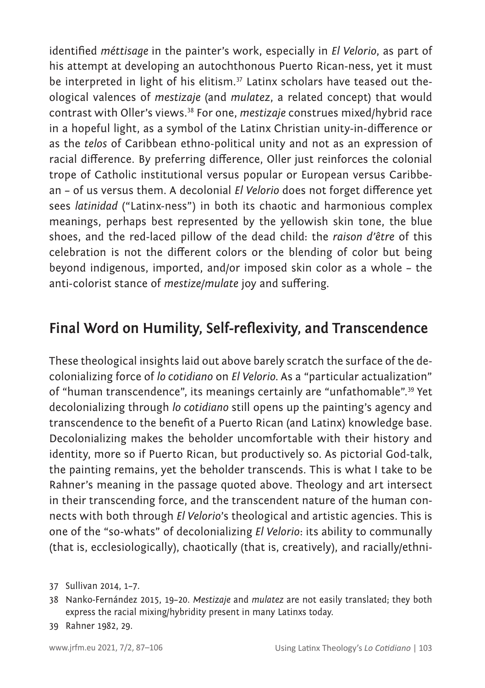identified *méttisage* in the painter's work, especially in *El Velorio*, as part of his attempt at developing an autochthonous Puerto Rican-ness, yet it must be interpreted in light of his elitism.<sup>37</sup> Latinx scholars have teased out theological valences of *mestizaje* (and *mulatez*, a related concept) that would contrast with Oller's views.38 For one, *mestizaje* construes mixed/hybrid race in a hopeful light, as a symbol of the Latinx Christian unity-in-difference or as the *telos* of Caribbean ethno-political unity and not as an expression of racial difference. By preferring difference, Oller just reinforces the colonial trope of Catholic institutional versus popular or European versus Caribbean – of us versus them. A decolonial *El Velorio* does not forget difference yet sees *latinidad* ("Latinx-ness") in both its chaotic and harmonious complex meanings, perhaps best represented by the yellowish skin tone, the blue shoes, and the red-laced pillow of the dead child: the *raison d'être* of this celebration is not the different colors or the blending of color but being beyond indigenous, imported, and/or imposed skin color as a whole – the anti-colorist stance of *mestize/mulate* joy and suffering.

### **Final Word on Humility, Self-reflexivity, and Transcendence**

These theological insights laid out above barely scratch the surface of the decolonializing force of *lo cotidiano* on *El Velorio.* As a "particular actualization" of "human transcendence", its meanings certainly are "unfathomable".<sup>39</sup> Yet decolonializing through *lo cotidiano* still opens up the painting's agency and transcendence to the benefit of a Puerto Rican (and Latinx) knowledge base. Decolonializing makes the beholder uncomfortable with their history and identity, more so if Puerto Rican, but productively so. As pictorial God-talk, the painting remains, yet the beholder transcends. This is what I take to be Rahner's meaning in the passage quoted above. Theology and art intersect in their transcending force, and the transcendent nature of the human connects with both through *El Velorio*'s theological and artistic agencies. This is one of the "so-whats" of decolonializing *El Velorio*: its ability to communally (that is, ecclesiologically), chaotically (that is, creatively), and racially/ethni-

<sup>37</sup> Sullivan 2014, 1–7.

<sup>38</sup> Nanko-Fernández 2015, 19–20. *Mestizaje* and *mulatez* are not easily translated; they both express the racial mixing/hybridity present in many Latinxs today.

<sup>39</sup> Rahner 1982, 29.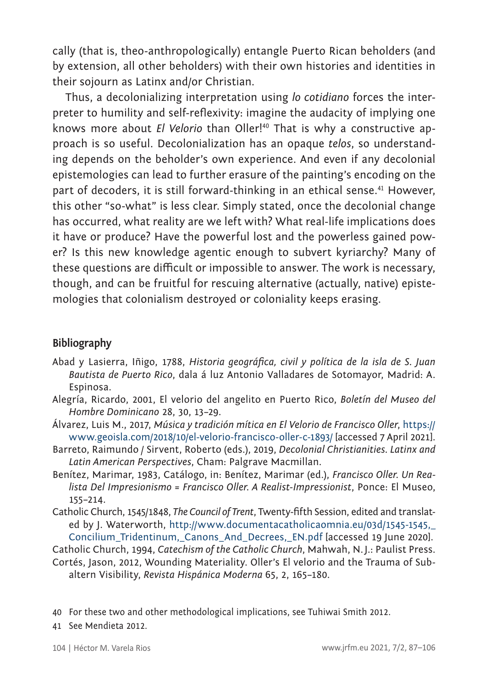cally (that is, theo-anthropologically) entangle Puerto Rican beholders (and by extension, all other beholders) with their own histories and identities in their sojourn as Latinx and/or Christian.

Thus, a decolonializing interpretation using *lo cotidiano* forces the interpreter to humility and self-reflexivity: imagine the audacity of implying one knows more about *El Velorio* than Oller!<sup>40</sup> That is why a constructive approach is so useful. Decolonialization has an opaque *telos*, so understanding depends on the beholder's own experience. And even if any decolonial epistemologies can lead to further erasure of the painting's encoding on the part of decoders, it is still forward-thinking in an ethical sense.<sup>41</sup> However, this other "so-what" is less clear. Simply stated, once the decolonial change has occurred, what reality are we left with? What real-life implications does it have or produce? Have the powerful lost and the powerless gained power? Is this new knowledge agentic enough to subvert kyriarchy? Many of these questions are difficult or impossible to answer. The work is necessary, though, and can be fruitful for rescuing alternative (actually, native) epistemologies that colonialism destroyed or coloniality keeps erasing.

#### **Bibliography**

- Abad y Lasierra, Iñigo, 1788, *Historia geográfica, civil y política de la isla de S. Juan Bautista de Puerto Rico*, dala á luz Antonio Valladares de Sotomayor, Madrid: A. Espinosa.
- Alegría, Ricardo, 2001, El velorio del angelito en Puerto Rico, *Boletín del Museo del Hombre Dominicano* 28, 30, 13–29.
- Álvarez, Luis M., 2017, *Música y tradición mítica en El Velorio de Francisco Oller*, [https://](https://www.geoisla.com/2018/10/el-velorio-francisco-oller-c-1893) [www.geoisla.com/2018/10/el-velorio-francisco-oller-c-1893/](https://www.geoisla.com/2018/10/el-velorio-francisco-oller-c-1893) [accessed 7 April 2021].
- Barreto, Raimundo / Sirvent, Roberto (eds.), 2019, *Decolonial Christianities. Latinx and Latin American Perspectives*, Cham: Palgrave Macmillan.
- Benítez, Marimar, 1983, Catálogo, in: Benítez, Marimar (ed.), *Francisco Oller. Un Realista Del Impresionismo = Francisco Oller. A Realist-Impressionist*, Ponce: El Museo, 155–214.
- Catholic Church, 1545/1848, *The Council of Trent*, Twenty-fifth Session, edited and translated by J. Waterworth, [http://www.documentacatholicaomnia.eu/03d/1545-1545,\\_](http://www.documentacatholicaomnia.eu/03d/1545-1545,_Concilium_Tridentinum,_Canons_And_Decrees,_EN.pdf) [Concilium\\_Tridentinum,\\_Canons\\_And\\_Decrees,\\_EN.pdf](http://www.documentacatholicaomnia.eu/03d/1545-1545,_Concilium_Tridentinum,_Canons_And_Decrees,_EN.pdf) [accessed 19 June 2020].

Catholic Church, 1994, *Catechism of the Catholic Church*, Mahwah, N.J.: Paulist Press.

- Cortés, Jason, 2012, Wounding Materiality. Oller's El velorio and the Trauma of Subaltern Visibility, *Revista Hispánica Moderna* 65, 2, 165–180.
- 40 For these two and other methodological implications, see Tuhiwai Smith 2012.
- 41 See Mendieta 2012.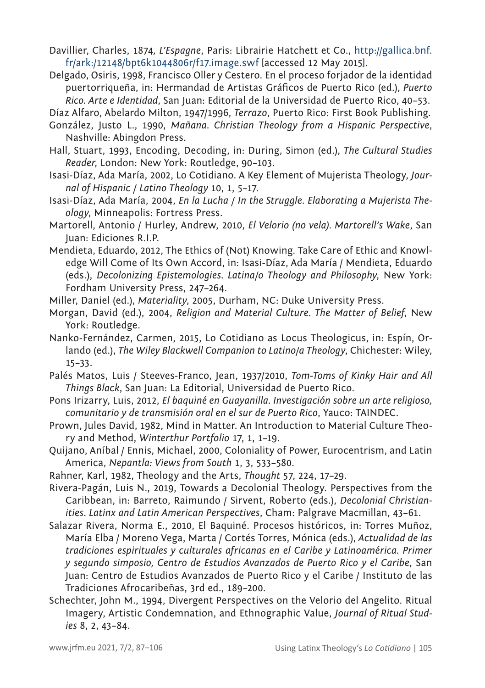- Davillier, Charles, 1874*, L'Espagne*, Paris: Librairie Hatchett et Co., [http://gallica.bnf.](http://gallica.bnf.fr/ark:/12148/bpt6k1044806r/f17.image.swf) [fr/ark:/12148/bpt6k1044806r/f17.image.swf](http://gallica.bnf.fr/ark:/12148/bpt6k1044806r/f17.image.swf) [accessed 12 May 2015].
- Delgado, Osiris, 1998, Francisco Oller y Cestero. En el proceso forjador de la identidad puertorriqueña, in: Hermandad de Artistas Gráficos de Puerto Rico (ed.), *Puerto Rico. Arte e Identidad*, San Juan: Editorial de la Universidad de Puerto Rico, 40–53.

Díaz Alfaro, Abelardo Milton, 1947/1996, *Terrazo*, Puerto Rico: First Book Publishing.

- González, Justo L., 1990, *Mañana. Christian Theology from a Hispanic Perspective*, Nashville: Abingdon Press.
- Hall, Stuart, 1993, Encoding, Decoding, in: During, Simon (ed.), *The Cultural Studies Reader*, London: New York: Routledge, 90–103.
- Isasi-Díaz, Ada María, 2002, Lo Cotidiano. A Key Element of Mujerista Theology, *Journal of Hispanic / Latino Theology* 10, 1, 5–17.
- Isasi-Díaz, Ada María, 2004, *En la Lucha / In the Struggle. Elaborating a Mujerista Theology*, Minneapolis: Fortress Press.
- Martorell, Antonio / Hurley, Andrew, 2010, *El Velorio (no vela). Martorell's Wake*, San Juan: Ediciones R.I.P.
- Mendieta, Eduardo, 2012, The Ethics of (Not) Knowing. Take Care of Ethic and Knowledge Will Come of Its Own Accord, in: Isasi-Díaz, Ada María / Mendieta, Eduardo (eds.), *Decolonizing Epistemologies. Latina/o Theology and Philosophy*, New York: Fordham University Press, 247–264.

Miller, Daniel (ed.), *Materiality*, 2005, Durham, NC: Duke University Press.

- Morgan, David (ed.), 2004, *Religion and Material Culture. The Matter of Belief*, New York: Routledge.
- Nanko-Fernández, Carmen, 2015, Lo Cotidiano as Locus Theologicus, in: Espín, Orlando (ed.), *The Wiley Blackwell Companion to Latino/a Theology*, Chichester: Wiley, 15–33.
- Palés Matos, Luis / Steeves-Franco, Jean, 1937/2010, *Tom-Toms of Kinky Hair and All Things Black*, San Juan: La Editorial, Universidad de Puerto Rico.
- Pons Irizarry, Luis, 2012, *El baquiné en Guayanilla. Investigación sobre un arte religioso, comunitario y de transmisión oral en el sur de Puerto Rico*, Yauco: TAINDEC.
- Prown, Jules David, 1982, Mind in Matter. An Introduction to Material Culture Theory and Method, *Winterthur Portfolio* 17, 1, 1–19.
- Quijano, Aníbal / Ennis, Michael, 2000, Coloniality of Power, Eurocentrism, and Latin America, *Nepantla: Views from South* 1, 3, 533–580.
- Rahner, Karl, 1982, Theology and the Arts, *Thought* 57, 224, 17–29.
- Rivera-Pagán, Luis N., 2019, Towards a Decolonial Theology. Perspectives from the Caribbean, in: Barreto, Raimundo / Sirvent, Roberto (eds.), *Decolonial Christianities. Latinx and Latin American Perspectives*, Cham: Palgrave Macmillan, 43–61.
- Salazar Rivera, Norma E., 2010, El Baquiné. Procesos históricos, in: Torres Muñoz, María Elba / Moreno Vega, Marta / Cortés Torres, Mónica (eds.), *Actualidad de las tradiciones espirituales y culturales africanas en el Caribe y Latinoamérica. Primer y segundo simposio, Centro de Estudios Avanzados de Puerto Rico y el Caribe*, San Juan: Centro de Estudios Avanzados de Puerto Rico y el Caribe / Instituto de las Tradiciones Afrocaribeñas, 3rd ed., 189–200.
- Schechter, John M., 1994, Divergent Perspectives on the Velorio del Angelito. Ritual Imagery, Artistic Condemnation, and Ethnographic Value, *Journal of Ritual Studies* 8, 2, 43–84.